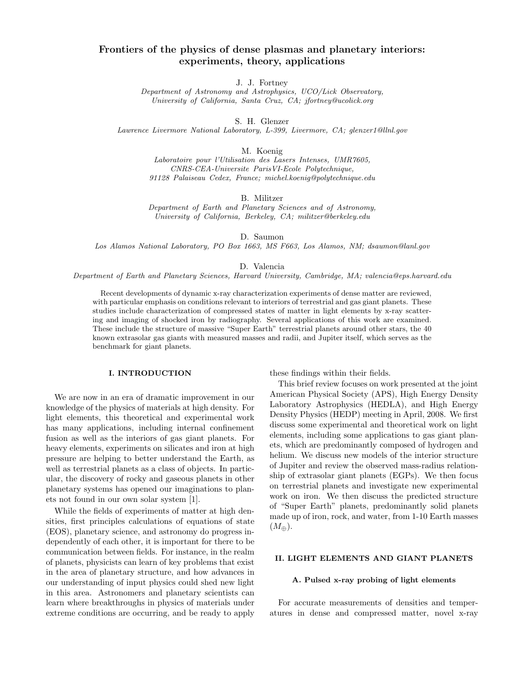# Frontiers of the physics of dense plasmas and planetary interiors: experiments, theory, applications

J. J. Fortney

Department of Astronomy and Astrophysics, UCO/Lick Observatory, University of California, Santa Cruz, CA; jfortney@ucolick.org

S. H. Glenzer

Lawrence Livermore National Laboratory, L-399, Livermore, CA; glenzer1@llnl.gov

M. Koenig

Laboratoire pour l'Utilisation des Lasers Intenses, UMR7605, CNRS-CEA-Universite ParisVI-Ecole Polytechnique, 91128 Palaiseau Cedex, France; michel.koenig@polytechnique.edu

B. Militzer

Department of Earth and Planetary Sciences and of Astronomy, University of California, Berkeley, CA; militzer@berkeley.edu

D. Saumon

Los Alamos National Laboratory, PO Box 1663, MS F663, Los Alamos, NM; dsaumon@lanl.gov

D. Valencia

Department of Earth and Planetary Sciences, Harvard University, Cambridge, MA; valencia@eps.harvard.edu

Recent developments of dynamic x-ray characterization experiments of dense matter are reviewed, with particular emphasis on conditions relevant to interiors of terrestrial and gas giant planets. These studies include characterization of compressed states of matter in light elements by x-ray scattering and imaging of shocked iron by radiography. Several applications of this work are examined. These include the structure of massive "Super Earth" terrestrial planets around other stars, the 40 known extrasolar gas giants with measured masses and radii, and Jupiter itself, which serves as the benchmark for giant planets.

# I. INTRODUCTION

We are now in an era of dramatic improvement in our knowledge of the physics of materials at high density. For light elements, this theoretical and experimental work has many applications, including internal confinement fusion as well as the interiors of gas giant planets. For heavy elements, experiments on silicates and iron at high pressure are helping to better understand the Earth, as well as terrestrial planets as a class of objects. In particular, the discovery of rocky and gaseous planets in other planetary systems has opened our imaginations to planets not found in our own solar system [1].

While the fields of experiments of matter at high densities, first principles calculations of equations of state (EOS), planetary science, and astronomy do progress independently of each other, it is important for there to be communication between fields. For instance, in the realm of planets, physicists can learn of key problems that exist in the area of planetary structure, and how advances in our understanding of input physics could shed new light in this area. Astronomers and planetary scientists can learn where breakthroughs in physics of materials under extreme conditions are occurring, and be ready to apply

these findings within their fields.

This brief review focuses on work presented at the joint American Physical Society (APS), High Energy Density Laboratory Astrophysics (HEDLA), and High Energy Density Physics (HEDP) meeting in April, 2008. We first discuss some experimental and theoretical work on light elements, including some applications to gas giant planets, which are predominantly composed of hydrogen and helium. We discuss new models of the interior structure of Jupiter and review the observed mass-radius relationship of extrasolar giant planets (EGPs). We then focus on terrestrial planets and investigate new experimental work on iron. We then discuss the predicted structure of "Super Earth" planets, predominantly solid planets made up of iron, rock, and water, from 1-10 Earth masses  $(M_{\oplus}).$ 

## II. LIGHT ELEMENTS AND GIANT PLANETS

#### A. Pulsed x-ray probing of light elements

For accurate measurements of densities and temperatures in dense and compressed matter, novel x-ray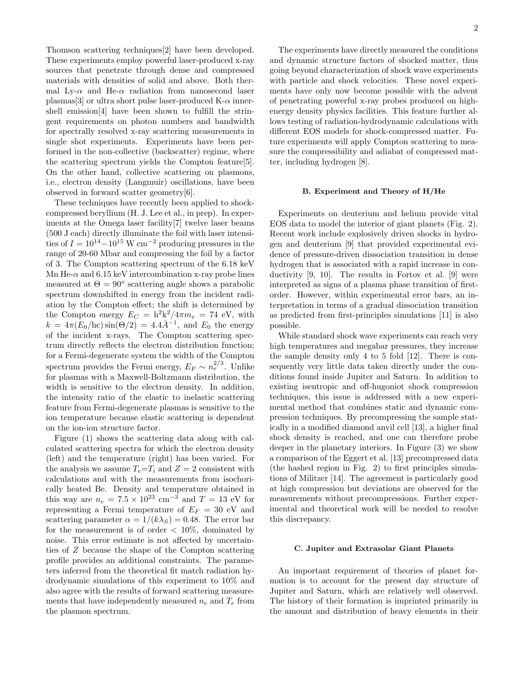Thomson scattering techniques[2] have been developed. These experiments employ powerful laser-produced x-ray sources that penetrate through dense and compressed materials with densities of solid and above. Both thermal Ly- $\alpha$  and He- $\alpha$  radiation from nanosecond laser plasmas[3] or ultra short pulse laser-produced K- $\alpha$  innershell emission[4] have been shown to fulfill the stringent requirements on photon numbers and bandwidth for spectrally resolved x-ray scattering measurements in single shot experiments. Experiments have been performed in the non-collective (backscatter) regime, where the scattering spectrum yields the Compton feature[5]. On the other hand, collective scattering on plasmons, i.e., electron density (Langmuir) oscillations, have been observed in forward scatter geometry[6].

These techniques have recently been applied to shockcompressed beryllium (H. J. Lee et al., in prep). In experiments at the Omega laser facility[7] twelve laser beams (500 J each) directly illuminate the foil with laser intensities of  $I = 10^{14} - 10^{15}$  W cm<sup>-2</sup> producing pressures in the range of 20-60 Mbar and compressing the foil by a factor of 3. The Compton scattering spectrum of the 6.18 keV Mn He- $\alpha$  and 6.15 keV intercombination x-ray probe lines measured at  $\Theta = 90^{\circ}$  scattering angle shows a parabolic spectrum downshifted in energy from the incident radiation by the Compton effect; the shift is determined by the Compton energy  $E_C = h^2 k^2 / 4\pi m_e = 74$  eV, with  $k = 4\pi (E_0/\text{hc}) \sin(\Theta/2) = 4.4\AA^{-1}$ , and  $E_0$  the energy of the incident x-rays. The Compton scattering spectrum directly reflects the electron distribution function; for a Fermi-degenerate system the width of the Compton spectrum provides the Fermi energy,  $E_F \sim n_e^{2/3}$ . Unlike for plasmas with a Maxwell-Boltzmann distribution, the width is sensitive to the electron density. In addition, the intensity ratio of the elastic to inelastic scattering feature from Fermi-degenerate plasmas is sensitive to the ion temperature because elastic scattering is dependent on the ion-ion structure factor.

Figure (1) shows the scattering data along with calculated scattering spectra for which the electron density (left) and the temperature (right) has been varied. For the analysis we assume  $T_e=T_i$  and  $Z=2$  consistent with calculations and with the measurements from isochorically heated Be. Density and temperature obtained in this way are  $n_e = 7.5 \times 10^{23}$  cm<sup>-3</sup> and  $T = 13$  eV for representing a Fermi temperature of  $E_F = 30$  eV and scattering parameter  $\alpha = 1/(k\lambda_S) = 0.48$ . The error bar for the measurement is of order  $\langle 10\%,$  dominated by noise. This error estimate is not affected by uncertainties of Z because the shape of the Compton scattering profile provides an additional constraints. The parameters inferred from the theoretical fit match radiation hydrodynamic simulations of this experiment to 10% and also agree with the results of forward scattering measurements that have independently measured  $n_e$  and  $T_e$  from the plasmon spectrum.

The experiments have directly measured the conditions and dynamic structure factors of shocked matter, thus going beyond characterization of shock wave experiments with particle and shock velocities. These novel experiments have only now become possible with the advent of penetrating powerful x-ray probes produced on highenergy density physics facilities. This feature further allows testing of radiation-hydrodynamic calculations with different EOS models for shock-compressed matter. Future experiments will apply Compton scattering to measure the compressibility and adiabat of compressed matter, including hydrogen [8].

### B. Experiment and Theory of H/He

Experiments on deuterium and helium provide vital EOS data to model the interior of giant planets (Fig. 2). Recent work include explosively driven shocks in hydrogen and deuterium [9] that provided experimental evidence of pressure-driven dissociation transition in dense hydrogen that is associated with a rapid increase in conductivity [9, 10]. The results in Fortov et al. [9] were interpreted as signs of a plasma phase transition of firstorder. However, within experimental error bars, an interpretation in terms of a gradual dissociation transition as predicted from first-principles simulations [11] is also possible.

While standard shock wave experiments can reach very high temperatures and megabar pressures, they increase the sample density only 4 to 5 fold [12]. There is consequently very little data taken directly under the conditions found inside Jupiter and Saturn. In addition to existing isentropic and off-hugoniot shock compression techniques, this issue is addressed with a new experimental method that combines static and dynamic compression techniques. By precompressing the sample statically in a modified diamond anvil cell [13], a higher final shock density is reached, and one can therefore probe deeper in the planetary interiors. In Figure (3) we show a comparison of the Eggert et al. [13] precompressed data (the hashed region in Fig. 2) to first principles simulations of Militzer [14]. The agreement is particularly good at high compression but deviations are observed for the measurements without precompressions. Further experimental and theoretical work will be needed to resolve this discrepancy.

## C. Jupiter and Extrasolar Giant Planets

An important requirement of theories of planet formation is to account for the present day structure of Jupiter and Saturn, which are relatively well observed. The history of their formation is imprinted primarily in the amount and distribution of heavy elements in their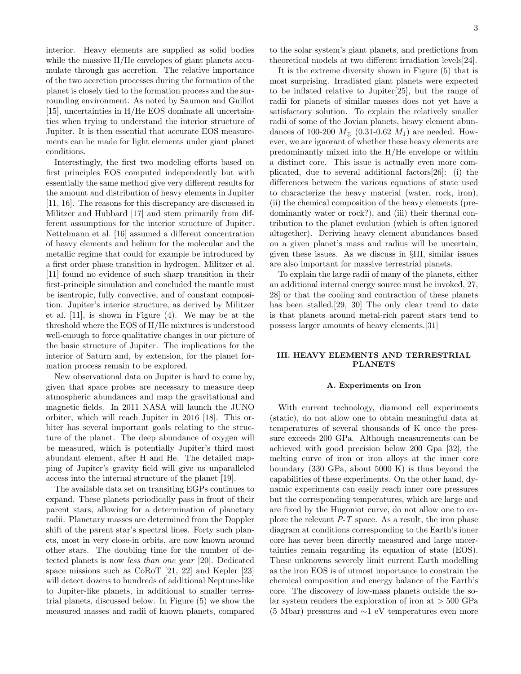interior. Heavy elements are supplied as solid bodies while the massive  $H/He$  envelopes of giant planets accumulate through gas accretion. The relative importance of the two accretion processes during the formation of the planet is closely tied to the formation process and the surrounding environment. As noted by Saumon and Guillot [15], uncertainties in H/He EOS dominate all uncertainties when trying to understand the interior structure of Jupiter. It is then essential that accurate EOS measurements can be made for light elements under giant planet conditions.

Interestingly, the first two modeling efforts based on first principles EOS computed independently but with essentially the same method give very different results for the amount and distribution of heavy elements in Jupiter [11, 16]. The reasons for this discrepancy are discussed in Militzer and Hubbard [17] and stem primarily from different assumptions for the interior structure of Jupiter. Nettelmann et al. [16] assumed a different concentration of heavy elements and helium for the molecular and the metallic regime that could for example be introduced by a first order phase transition in hydrogen. Militzer et al. [11] found no evidence of such sharp transition in their first-principle simulation and concluded the mantle must be isentropic, fully convective, and of constant composition. Jupiter's interior structure, as derived by Militzer et al. [11], is shown in Figure (4). We may be at the threshold where the EOS of H/He mixtures is understood well-enough to force qualitative changes in our picture of the basic structure of Jupiter. The implications for the interior of Saturn and, by extension, for the planet formation process remain to be explored.

New observational data on Jupiter is hard to come by, given that space probes are necessary to measure deep atmospheric abundances and map the gravitational and magnetic fields. In 2011 NASA will launch the JUNO orbiter, which will reach Jupiter in 2016 [18]. This orbiter has several important goals relating to the structure of the planet. The deep abundance of oxygen will be measured, which is potentially Jupiter's third most abundant element, after H and He. The detailed mapping of Jupiter's gravity field will give us unparalleled access into the internal structure of the planet [19].

The available data set on transiting EGPs continues to expand. These planets periodically pass in front of their parent stars, allowing for a determination of planetary radii. Planetary masses are determined from the Doppler shift of the parent star's spectral lines. Forty such planets, most in very close-in orbits, are now known around other stars. The doubling time for the number of detected planets is now less than one year [20]. Dedicated space missions such as CoRoT [21, 22] and Kepler [23] will detect dozens to hundreds of additional Neptune-like to Jupiter-like planets, in additional to smaller terrestrial planets, discussed below. In Figure (5) we show the measured masses and radii of known planets, compared to the solar system's giant planets, and predictions from theoretical models at two different irradiation levels[24].

It is the extreme diversity shown in Figure (5) that is most surprising. Irradiated giant planets were expected to be inflated relative to Jupiter[25], but the range of radii for planets of similar masses does not yet have a satisfactory solution. To explain the relatively smaller radii of some of the Jovian planets, heavy element abundances of 100-200  $M_{\oplus}$  (0.31-0.62  $M_{\rm J}$ ) are needed. However, we are ignorant of whether these heavy elements are predominantly mixed into the H/He envelope or within a distinct core. This issue is actually even more complicated, due to several additional factors[26]: (i) the differences between the various equations of state used to characterize the heavy material (water, rock, iron), (ii) the chemical composition of the heavy elements (predominantly water or rock?), and (iii) their thermal contribution to the planet evolution (which is often ignored altogether). Deriving heavy element abundances based on a given planet's mass and radius will be uncertain, given these issues. As we discuss in §III, similar issues are also important for massive terrestrial planets.

To explain the large radii of many of the planets, either an additional internal energy source must be invoked,[27, 28] or that the cooling and contraction of these planets has been stalled.[29, 30] The only clear trend to date is that planets around metal-rich parent stars tend to possess larger amounts of heavy elements.[31]

## III. HEAVY ELEMENTS AND TERRESTRIAL PLANETS

#### A. Experiments on Iron

With current technology, diamond cell experiments (static), do not allow one to obtain meaningful data at temperatures of several thousands of K once the pressure exceeds 200 GPa. Although measurements can be achieved with good precision below 200 Gpa [32], the melting curve of iron or iron alloys at the inner core boundary (330 GPa, about 5000 K) is thus beyond the capabilities of these experiments. On the other hand, dynamic experiments can easily reach inner core pressures but the corresponding temperatures, which are large and are fixed by the Hugoniot curve, do not allow one to explore the relevant  $P-T$  space. As a result, the iron phase diagram at conditions corresponding to the Earth's inner core has never been directly measured and large uncertainties remain regarding its equation of state (EOS). These unknowns severely limit current Earth modelling as the iron EOS is of utmost importance to constrain the chemical composition and energy balance of the Earth's core. The discovery of low-mass planets outside the solar system renders the exploration of iron at  $> 500$  GPa (5 Mbar) pressures and ∼1 eV temperatures even more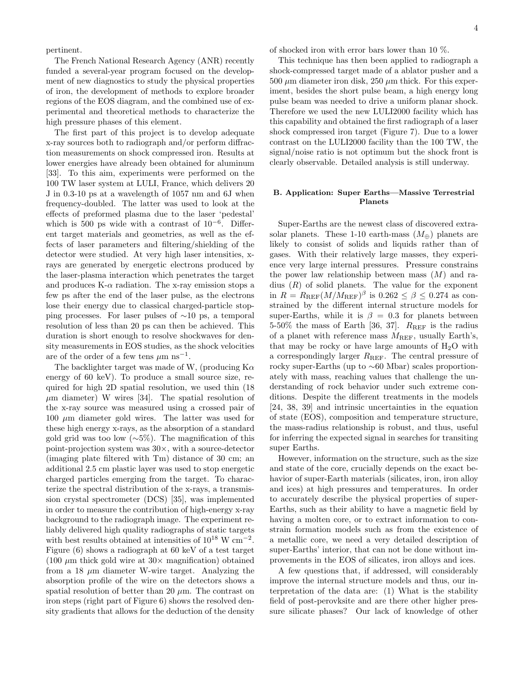pertinent.

The French National Research Agency (ANR) recently funded a several-year program focused on the development of new diagnostics to study the physical properties of iron, the development of methods to explore broader regions of the EOS diagram, and the combined use of experimental and theoretical methods to characterize the high pressure phases of this element.

The first part of this project is to develop adequate x-ray sources both to radiograph and/or perform diffraction measurements on shock compressed iron. Results at lower energies have already been obtained for aluminum [33]. To this aim, experiments were performed on the 100 TW laser system at LULI, France, which delivers 20 J in 0.3-10 ps at a wavelength of 1057 nm and 6J when frequency-doubled. The latter was used to look at the effects of preformed plasma due to the laser 'pedestal' which is 500 ps wide with a contrast of  $10^{-6}$ . Different target materials and geometries, as well as the effects of laser parameters and filtering/shielding of the detector were studied. At very high laser intensities, xrays are generated by energetic electrons produced by the laser-plasma interaction which penetrates the target and produces  $K-\alpha$  radiation. The x-ray emission stops a few ps after the end of the laser pulse, as the electrons lose their energy due to classical charged-particle stopping processes. For laser pulses of ∼10 ps, a temporal resolution of less than 20 ps can then be achieved. This duration is short enough to resolve shockwaves for density measurements in EOS studies, as the shock velocities are of the order of a few tens  $\mu$ m ns<sup>-1</sup>.

The backlighter target was made of W, (producing  $K\alpha$ ) energy of 60 keV). To produce a small source size, required for high 2D spatial resolution, we used thin (18  $\mu$ m diameter) W wires [34]. The spatial resolution of the x-ray source was measured using a crossed pair of  $100 \mu m$  diameter gold wires. The latter was used for these high energy x-rays, as the absorption of a standard gold grid was too low (∼5%). The magnification of this point-projection system was 30×, with a source-detector (imaging plate filtered with Tm) distance of 30 cm; an additional 2.5 cm plastic layer was used to stop energetic charged particles emerging from the target. To characterize the spectral distribution of the x-rays, a transmission crystal spectrometer (DCS) [35], was implemented in order to measure the contribution of high-energy x-ray background to the radiograph image. The experiment reliably delivered high quality radiographs of static targets with best results obtained at intensities of  $10^{18}$  W cm<sup>-2</sup>. Figure (6) shows a radiograph at 60 keV of a test target (100  $\mu$ m thick gold wire at 30 $\times$  magnification) obtained from a 18  $\mu$ m diameter W-wire target. Analyzing the absorption profile of the wire on the detectors shows a spatial resolution of better than 20  $\mu$ m. The contrast on iron steps (right part of Figure 6) shows the resolved density gradients that allows for the deduction of the density

of shocked iron with error bars lower than 10 %.

This technique has then been applied to radiograph a shock-compressed target made of a ablator pusher and a 500  $\mu$ m diameter iron disk, 250  $\mu$ m thick. For this experiment, besides the short pulse beam, a high energy long pulse beam was needed to drive a uniform planar shock. Therefore we used the new LULI2000 facility which has this capability and obtained the first radiograph of a laser shock compressed iron target (Figure 7). Due to a lower contrast on the LULI2000 facility than the 100 TW, the signal/noise ratio is not optimum but the shock front is clearly observable. Detailed analysis is still underway.

### B. Application: Super Earths—Massive Terrestrial Planets

Super-Earths are the newest class of discovered extrasolar planets. These 1-10 earth-mass  $(M_{\oplus})$  planets are likely to consist of solids and liquids rather than of gases. With their relatively large masses, they experience very large internal pressures. Pressure constrains the power law relationship between mass  $(M)$  and radius  $(R)$  of solid planets. The value for the exponent in  $R = R_{REF}(M/M_{REF})^{\beta}$  is  $0.262 \leq \beta \leq 0.274$  as constrained by the different internal structure models for super-Earths, while it is  $\beta = 0.3$  for planets between 5-50% the mass of Earth [36, 37].  $R_{REF}$  is the radius of a planet with reference mass  $M_{REF}$ , usually Earth's, that may be rocky or have large amounts of  $H_2O$  with a correspondingly larger  $R_{REF}$ . The central pressure of rocky super-Earths (up to ∼60 Mbar) scales proportionately with mass, reaching values that challenge the understanding of rock behavior under such extreme conditions. Despite the different treatments in the models [24, 38, 39] and intrinsic uncertainties in the equation of state (EOS), composition and temperature structure, the mass-radius relationship is robust, and thus, useful for inferring the expected signal in searches for transiting super Earths.

However, information on the structure, such as the size and state of the core, crucially depends on the exact behavior of super-Earth materials (silicates, iron, iron alloy and ices) at high pressures and temperatures. In order to accurately describe the physical properties of super-Earths, such as their ability to have a magnetic field by having a molten core, or to extract information to constrain formation models such as from the existence of a metallic core, we need a very detailed description of super-Earths' interior, that can not be done without improvements in the EOS of silicates, iron alloys and ices.

A few questions that, if addressed, will considerably improve the internal structure models and thus, our interpretation of the data are: (1) What is the stability field of post-perovksite and are there other higher pressure silicate phases? Our lack of knowledge of other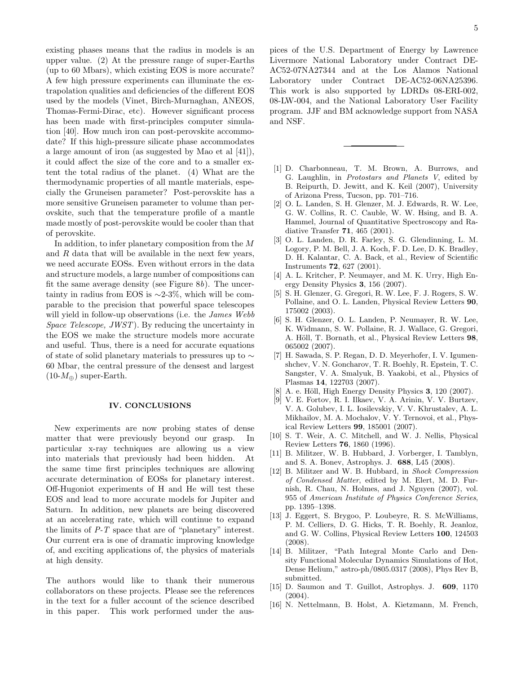existing phases means that the radius in models is an upper value. (2) At the pressure range of super-Earths (up to 60 Mbars), which existing EOS is more accurate? A few high pressure experiments can illuminate the extrapolation qualities and deficiencies of the different EOS used by the models (Vinet, Birch-Murnaghan, ANEOS, Thomas-Fermi-Dirac, etc). However significant process has been made with first-principles computer simulation [40]. How much iron can post-perovskite accommodate? If this high-pressure silicate phase accommodates a large amount of iron (as suggested by Mao et al [41]), it could affect the size of the core and to a smaller extent the total radius of the planet. (4) What are the thermodynamic properties of all mantle materials, especially the Gruneisen parameter? Post-perovskite has a more sensitive Gruneisen parameter to volume than perovskite, such that the temperature profile of a mantle made mostly of post-perovskite would be cooler than that of perovskite.

In addition, to infer planetary composition from the M and  $R$  data that will be available in the next few years, we need accurate EOSs. Even without errors in the data and structure models, a large number of compositions can fit the same average density (see Figure  $8b$ ). The uncertainty in radius from EOS is  $\sim$ 2-3%, which will be comparable to the precision that powerful space telescopes will yield in follow-up observations (i.e. the *James Webb* Space Telescope, JWST). By reducing the uncertainty in the EOS we make the structure models more accurate and useful. Thus, there is a need for accurate equations of state of solid planetary materials to pressures up to ∼ 60 Mbar, the central pressure of the densest and largest  $(10-M_{\oplus})$  super-Earth.

#### IV. CONCLUSIONS

New experiments are now probing states of dense matter that were previously beyond our grasp. In particular x-ray techniques are allowing us a view into materials that previously had been hidden. At the same time first principles techniques are allowing accurate determination of EOSs for planetary interest. Off-Hugoniot experiments of H and He will test these EOS and lead to more accurate models for Jupiter and Saturn. In addition, new planets are being discovered at an accelerating rate, which will continue to expand the limits of P-T space that are of "planetary" interest. Our current era is one of dramatic improving knowledge of, and exciting applications of, the physics of materials at high density.

The authors would like to thank their numerous collaborators on these projects. Please see the references in the text for a fuller account of the science described in this paper. This work performed under the aus-

pices of the U.S. Department of Energy by Lawrence Livermore National Laboratory under Contract DE-AC52-07NA27344 and at the Los Alamos National Laboratory under Contract DE-AC52-06NA25396. This work is also supported by LDRDs 08-ERI-002, 08-LW-004, and the National Laboratory User Facility program. JJF and BM acknowledge support from NASA and NSF.

- [1] D. Charbonneau, T. M. Brown, A. Burrows, and G. Laughlin, in Protostars and Planets V, edited by B. Reipurth, D. Jewitt, and K. Keil (2007), University of Arizona Press, Tucson, pp. 701–716.
- [2] O. L. Landen, S. H. Glenzer, M. J. Edwards, R. W. Lee, G. W. Collins, R. C. Cauble, W. W. Hsing, and B. A. Hammel, Journal of Quantitative Spectroscopy and Radiative Transfer 71, 465 (2001).
- [3] O. L. Landen, D. R. Farley, S. G. Glendinning, L. M. Logory, P. M. Bell, J. A. Koch, F. D. Lee, D. K. Bradley, D. H. Kalantar, C. A. Back, et al., Review of Scientific Instruments 72, 627 (2001).
- [4] A. L. Kritcher, P. Neumayer, and M. K. Urry, High Energy Density Physics 3, 156 (2007).
- [5] S. H. Glenzer, G. Gregori, R. W. Lee, F. J. Rogers, S. W. Pollaine, and O. L. Landen, Physical Review Letters 90, 175002 (2003).
- [6] S. H. Glenzer, O. L. Landen, P. Neumayer, R. W. Lee, K. Widmann, S. W. Pollaine, R. J. Wallace, G. Gregori, A. Höll, T. Bornath, et al., Physical Review Letters 98, 065002 (2007).
- [7] H. Sawada, S. P. Regan, D. D. Meyerhofer, I. V. Igumenshchev, V. N. Goncharov, T. R. Boehly, R. Epstein, T. C. Sangster, V. A. Smalyuk, B. Yaakobi, et al., Physics of Plasmas 14, 122703 (2007).
- $[8]$  A. e. Höll, High Energy Density Physics 3, 120  $(2007)$ .
- [9] V. E. Fortov, R. I. Ilkaev, V. A. Arinin, V. V. Burtzev, V. A. Golubev, I. L. Iosilevskiy, V. V. Khrustalev, A. L. Mikhailov, M. A. Mochalov, V. Y. Ternovoi, et al., Physical Review Letters 99, 185001 (2007).
- [10] S. T. Weir, A. C. Mitchell, and W. J. Nellis, Physical Review Letters 76, 1860 (1996).
- [11] B. Militzer, W. B. Hubbard, J. Vorberger, I. Tamblyn, and S. A. Bonev, Astrophys. J. 688, L45 (2008).
- [12] B. Militzer and W. B. Hubbard, in Shock Compression of Condensed Matter, edited by M. Elert, M. D. Furnish, R. Chau, N. Holmes, and J. Nguyen (2007), vol. 955 of American Institute of Physics Conference Series, pp. 1395–1398.
- [13] J. Eggert, S. Brygoo, P. Loubeyre, R. S. McWilliams, P. M. Celliers, D. G. Hicks, T. R. Boehly, R. Jeanloz, and G. W. Collins, Physical Review Letters 100, 124503 (2008).
- [14] B. Militzer, "Path Integral Monte Carlo and Density Functional Molecular Dynamics Simulations of Hot, Dense Helium," astro-ph/0805.0317 (2008), Phys Rev B, submitted.
- [15] D. Saumon and T. Guillot, Astrophys. J. 609, 1170 (2004).
- [16] N. Nettelmann, B. Holst, A. Kietzmann, M. French,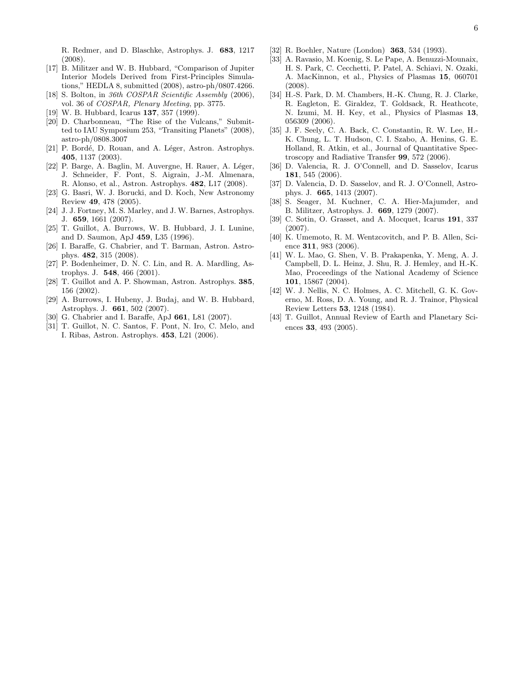R. Redmer, and D. Blaschke, Astrophys. J. 683, 1217 (2008).

- [17] B. Militzer and W. B. Hubbard, "Comparison of Jupiter Interior Models Derived from First-Principles Simulations," HEDLA 8, submitted (2008), astro-ph/0807.4266.
- [18] S. Bolton, in 36th COSPAR Scientific Assembly (2006), vol. 36 of COSPAR, Plenary Meeting, pp. 3775.
- [19] W. B. Hubbard, Icarus 137, 357 (1999).
- [20] D. Charbonneau, "The Rise of the Vulcans," Submitted to IAU Symposium 253, "Transiting Planets" (2008), astro-ph/0808.3007
- [21] P. Bordé, D. Rouan, and A. Léger, Astron. Astrophys. 405, 1137 (2003).
- [22] P. Barge, A. Baglin, M. Auvergne, H. Rauer, A. Léger, J. Schneider, F. Pont, S. Aigrain, J.-M. Almenara, R. Alonso, et al., Astron. Astrophys. 482, L17 (2008).
- [23] G. Basri, W. J. Borucki, and D. Koch, New Astronomy Review 49, 478 (2005).
- [24] J. J. Fortney, M. S. Marley, and J. W. Barnes, Astrophys. J. 659, 1661 (2007).
- [25] T. Guillot, A. Burrows, W. B. Hubbard, J. I. Lunine, and D. Saumon, ApJ 459, L35 (1996).
- [26] I. Baraffe, G. Chabrier, and T. Barman, Astron. Astrophys. 482, 315 (2008).
- [27] P. Bodenheimer, D. N. C. Lin, and R. A. Mardling, Astrophys. J. 548, 466 (2001).
- [28] T. Guillot and A. P. Showman, Astron. Astrophys. 385, 156 (2002).
- [29] A. Burrows, I. Hubeny, J. Budaj, and W. B. Hubbard, Astrophys. J. 661, 502 (2007).
- [30] G. Chabrier and I. Baraffe, ApJ 661, L81 (2007).
- [31] T. Guillot, N. C. Santos, F. Pont, N. Iro, C. Melo, and I. Ribas, Astron. Astrophys. 453, L21 (2006).
- [32] R. Boehler, Nature (London) 363, 534 (1993).
- [33] A. Ravasio, M. Koenig, S. Le Pape, A. Benuzzi-Mounaix, H. S. Park, C. Cecchetti, P. Patel, A. Schiavi, N. Ozaki, A. MacKinnon, et al., Physics of Plasmas 15, 060701 (2008).
- [34] H.-S. Park, D. M. Chambers, H.-K. Chung, R. J. Clarke, R. Eagleton, E. Giraldez, T. Goldsack, R. Heathcote, N. Izumi, M. H. Key, et al., Physics of Plasmas 13, 056309 (2006).
- [35] J. F. Seely, C. A. Back, C. Constantin, R. W. Lee, H.- K. Chung, L. T. Hudson, C. I. Szabo, A. Henins, G. E. Holland, R. Atkin, et al., Journal of Quantitative Spectroscopy and Radiative Transfer 99, 572 (2006).
- [36] D. Valencia, R. J. O'Connell, and D. Sasselov, Icarus 181, 545 (2006).
- [37] D. Valencia, D. D. Sasselov, and R. J. O'Connell, Astrophys. J. 665, 1413 (2007).
- [38] S. Seager, M. Kuchner, C. A. Hier-Majumder, and B. Militzer, Astrophys. J. 669, 1279 (2007).
- [39] C. Sotin, O. Grasset, and A. Mocquet, Icarus 191, 337 (2007).
- [40] K. Umemoto, R. M. Wentzcovitch, and P. B. Allen, Science 311, 983 (2006).
- [41] W. L. Mao, G. Shen, V. B. Prakapenka, Y. Meng, A. J. Campbell, D. L. Heinz, J. Shu, R. J. Hemley, and H.-K. Mao, Proceedings of the National Academy of Science 101, 15867 (2004).
- [42] W. J. Nellis, N. C. Holmes, A. C. Mitchell, G. K. Governo, M. Ross, D. A. Young, and R. J. Trainor, Physical Review Letters 53, 1248 (1984).
- [43] T. Guillot, Annual Review of Earth and Planetary Sciences 33, 493 (2005).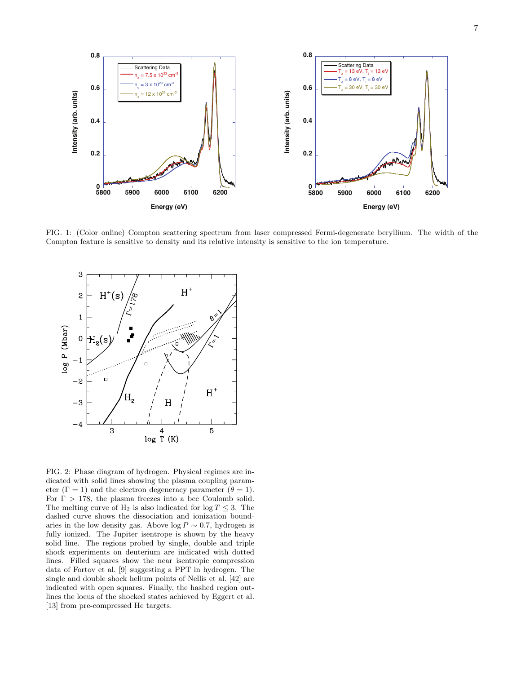

FIG. 1: (Color online) Compton scattering spectrum from laser compressed Fermi-degenerate beryllium. The width of the Compton feature is sensitive to density and its relative intensity is sensitive to the ion temperature.



FIG. 2: Phase diagram of hydrogen. Physical regimes are indicated with solid lines showing the plasma coupling parameter ( $\Gamma = 1$ ) and the electron degeneracy parameter ( $\theta = 1$ ). For  $\Gamma > 178$ , the plasma freezes into a bcc Coulomb solid. The melting curve of  $H_2$  is also indicated for  $\log T \leq 3$ . The dashed curve shows the dissociation and ionization boundaries in the low density gas. Above  $\log P \sim 0.7$ , hydrogen is fully ionized. The Jupiter isentrope is shown by the heavy solid line. The regions probed by single, double and triple shock experiments on deuterium are indicated with dotted lines. Filled squares show the near isentropic compression data of Fortov et al. [9] suggesting a PPT in hydrogen. The single and double shock helium points of Nellis et al. [42] are indicated with open squares. Finally, the hashed region outlines the locus of the shocked states achieved by Eggert et al. [13] from pre-compressed He targets.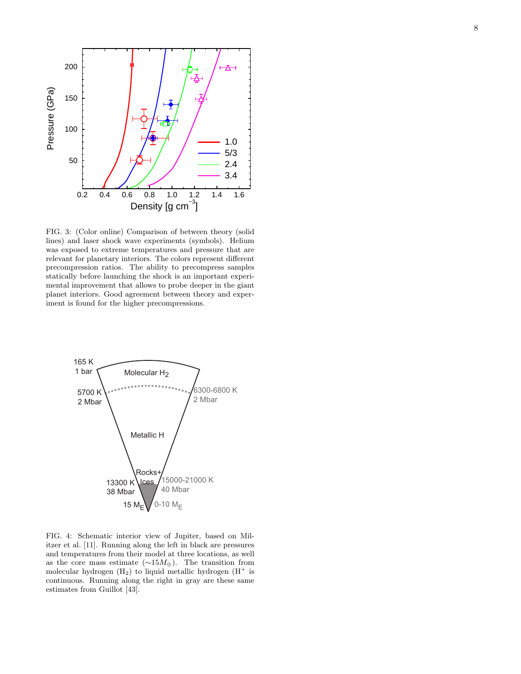

FIG. 3: (Color online) Comparison of between theory (solid lines) and laser shock wave experiments (symbols). Helium was exposed to extreme temperatures and pressure that are relevant for planetary interiors. The colors represent different precompression ratios. The ability to precompress samples statically before launching the shock is an important experimental improvement that allows to probe deeper in the giant planet interiors. Good agreement between theory and experiment is found for the higher precompressions.



FIG. 4: Schematic interior view of Jupiter, based on Militzer et al. [11]. Running along the left in black are pressures and temperatures from their model at three locations, as well as the core mass estimate  $(\sim 15M)$ . The transition from molecular hydrogen  $(H_2)$  to liquid metallic hydrogen  $(H^+$  is continuous. Running along the right in gray are these same estimates from Guillot [43].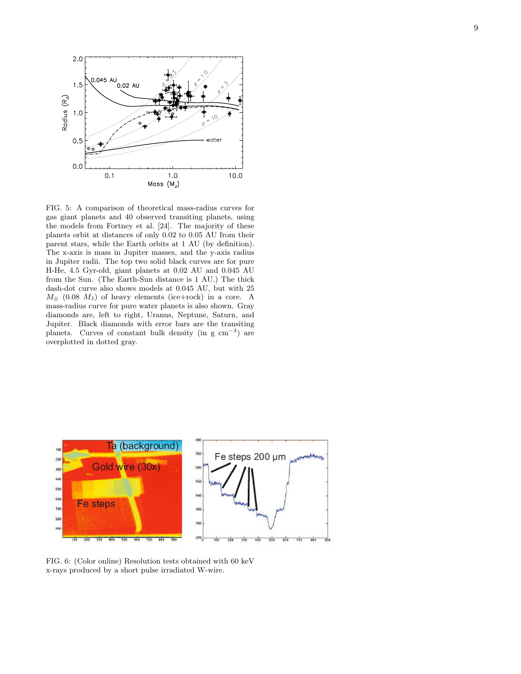

FIG. 5: A comparison of theoretical mass-radius curves for gas giant planets and 40 observed transiting planets, using the models from Fortney et al. [24]. The majority of these planets orbit at distances of only 0.02 to 0.05 AU from their parent stars, while the Earth orbits at 1 AU (by definition). The x-axis is mass in Jupiter masses, and the y-axis radius in Jupiter radii. The top two solid black curves are for pure H-He, 4.5 Gyr-old, giant planets at 0.02 AU and 0.045 AU from the Sun. (The Earth-Sun distance is 1 AU.) The thick dash-dot curve also shows models at 0.045 AU, but with 25  $M_{\oplus}$  (0.08  $M_{\rm J}$ ) of heavy elements (ice+rock) in a core. A mass-radius curve for pure water planets is also shown. Gray diamonds are, left to right, Uranus, Neptune, Saturn, and Jupiter. Black diamonds with error bars are the transiting planets. Curves of constant bulk density (in g cm<sup>−</sup><sup>3</sup> ) are overplotted in dotted gray.



FIG. 6: (Color online) Resolution tests obtained with 60 keV x-rays produced by a short pulse irradiated W-wire.